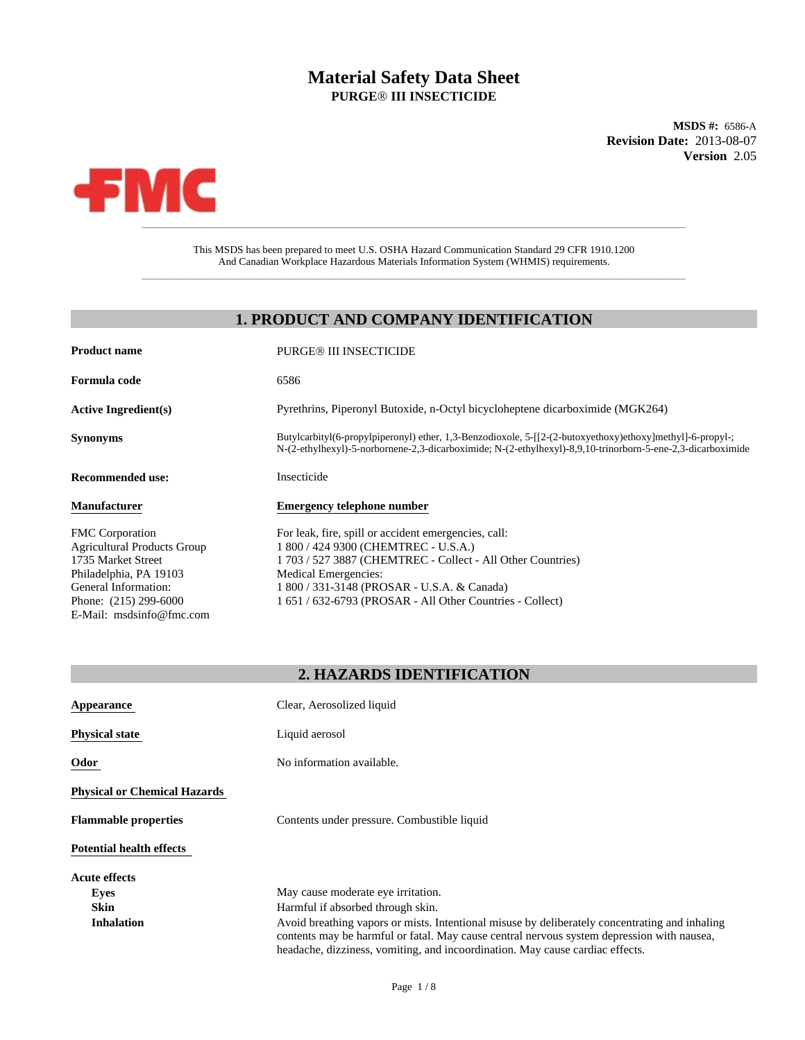# Material Safety Data Sheet<br>
PURGE® III INSECTICIDE<br>
MSDS #: 6586-A<br>
Revision Date: 2013-08-07<br>
Version 2.05 **PURGEÒ III INSECTICIDE**

**Version** 2.05 **MSDS #:** 6586-A **Revision Date:** 2013-08-07



This MSDS has been prepared to meet U.S. OSHA Hazard Communication Standard 29 CFR 1910.1200 And Canadian Workplace Hazardous Materials Information System (WHMIS) requirements.

\_\_\_\_\_\_\_\_\_\_\_\_\_\_\_\_\_\_\_\_\_\_\_\_\_\_\_\_\_\_\_\_\_\_\_\_\_\_\_\_\_\_\_\_\_\_\_\_\_\_\_\_\_\_\_\_\_\_\_\_\_\_\_\_\_\_\_\_\_\_\_\_\_\_\_\_\_\_\_\_\_\_\_\_\_\_\_\_\_\_\_\_\_

# **1. PRODUCT AND COMPANY IDENTIFICATION**

| <b>PURGE® III INSECTICIDE</b>                                                                                                                                                                                              |
|----------------------------------------------------------------------------------------------------------------------------------------------------------------------------------------------------------------------------|
| 6586                                                                                                                                                                                                                       |
| Pyrethrins, Piperonyl Butoxide, n-Octyl bicycloheptene dicarboximide (MGK264)                                                                                                                                              |
| Butylcarbityl(6-propylpiperonyl) ether, 1,3-Benzodioxole, $5-[2-(2-butoxyethoxy)ethoxy]methyl]-6-propyl-$ ;<br>N-(2-ethylhexyl)-5-norbornene-2,3-dicarboximide; N-(2-ethylhexyl)-8,9,10-trinorborn-5-ene-2,3-dicarboximide |
| Insecticide                                                                                                                                                                                                                |
| <b>Emergency telephone number</b>                                                                                                                                                                                          |
| For leak, fire, spill or accident emergencies, call:                                                                                                                                                                       |
| 1 800 / 424 9300 (CHEMTREC - U.S.A.)                                                                                                                                                                                       |
| 1703/5273887 (CHEMTREC - Collect - All Other Countries)                                                                                                                                                                    |
|                                                                                                                                                                                                                            |
| Medical Emergencies:                                                                                                                                                                                                       |
| 1 800 / 331-3148 (PROSAR - U.S.A. & Canada)                                                                                                                                                                                |
| 1 651 / 632-6793 (PROSAR - All Other Countries - Collect)                                                                                                                                                                  |
|                                                                                                                                                                                                                            |

# **2. HAZARDS IDENTIFICATION**

| Appearance                          | Clear, Aerosolized liquid                                                                                                                                                                                                                                                     |
|-------------------------------------|-------------------------------------------------------------------------------------------------------------------------------------------------------------------------------------------------------------------------------------------------------------------------------|
| <b>Physical state</b>               | Liquid aerosol                                                                                                                                                                                                                                                                |
| Odor                                | No information available.                                                                                                                                                                                                                                                     |
| <b>Physical or Chemical Hazards</b> |                                                                                                                                                                                                                                                                               |
| <b>Flammable properties</b>         | Contents under pressure. Combustible liquid                                                                                                                                                                                                                                   |
| <b>Potential health effects</b>     |                                                                                                                                                                                                                                                                               |
| <b>Acute effects</b>                |                                                                                                                                                                                                                                                                               |
| Eyes                                | May cause moderate eye irritation.                                                                                                                                                                                                                                            |
| <b>Skin</b>                         | Harmful if absorbed through skin.                                                                                                                                                                                                                                             |
| <b>Inhalation</b>                   | Avoid breathing vapors or mists. Intentional misuse by deliberately concentrating and inhaling<br>contents may be harmful or fatal. May cause central nervous system depression with nausea,<br>headache, dizziness, vomiting, and incoordination. May cause cardiac effects. |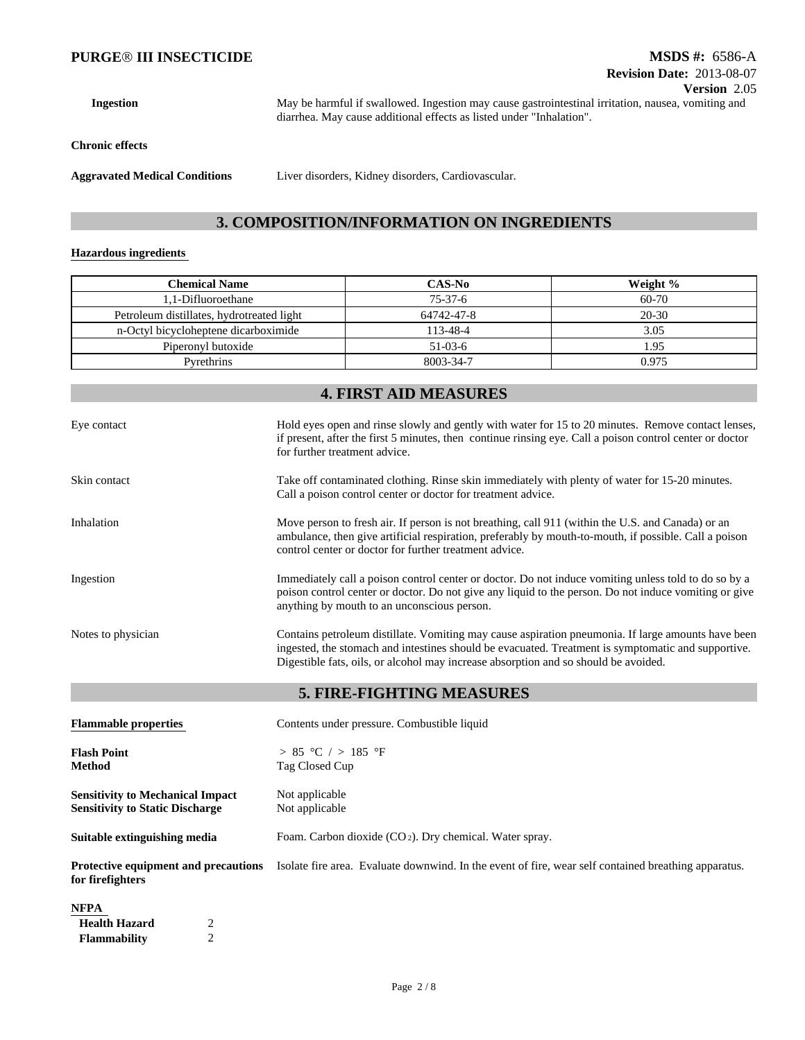**Ingestion**

May be harmful if swallowed. Ingestion may cause gastrointestinal irritation, nausea, vomiting and diarrhea. May cause additional effects as listed under "Inhalation".

**Chronic effects**

**Aggravated Medical Conditions**

Liver disorders, Kidney disorders, Cardiovascular.

### **3. COMPOSITION/INFORMATION ON INGREDIENTS**

#### **Hazardous ingredients**

| <b>Chemical Name</b>                      | CAS-No     | Weight %  |
|-------------------------------------------|------------|-----------|
| .1-Difluoroethane                         | $75-37-6$  | 60-70     |
| Petroleum distillates, hydrotreated light | 64742-47-8 | $20 - 30$ |
| n-Octyl bicycloheptene dicarboximide      | 113-48-4   | 3.05      |
| Piperonyl butoxide                        | $51-03-6$  | 1.95      |
| Pyrethrins                                | 8003-34-7  | 0.975     |

# **5. FIRE-FIGHTING MEASURES Flammable properties** Contents under pressure. Combustible liquid **Flash Point** > 85 °C / > 185 °F **Method** Tag Closed Cup **Sensitivity to Mechanical Impact** Not applicable **4. FIRST AID MEASURES Sensitivity to Static Discharge** Not applicable Eye contact Hold eyes open and rinse slowly and gently with water for 15 to 20 minutes. Remove contact lenses, if present, after the first 5 minutes, then continue rinsing eye. Call a poison control center or doctor for further treatment advice. Skin contact Take off contaminated clothing. Rinse skin immediately with plenty of water for 15-20 minutes. Call a poison control center or doctor for treatment advice. Inhalation Move person to fresh air. If person is not breathing, call 911 (within the U.S. and Canada) or an ambulance, then give artificial respiration, preferably by mouth-to-mouth, if possible. Call a poison control center or doctor for further treatment advice. Ingestion Immediately call a poison control center or doctor. Do not induce vomiting unless told to do so by a poison control center or doctor. Do not give any liquid to the person. Do not induce vomiting or give anything by mouth to an unconscious person. Notes to physician Contains petroleum distillate. Vomiting may cause aspiration pneumonia. If large amounts have been ingested, the stomach and intestines should be evacuated. Treatment is symptomatic and supportive. Digestible fats, oils, or alcohol may increase absorption and so should be avoided.

**Suitable extinguishing media** Foam. Carbon dioxide (CO 2). Dry chemical. Water spray.

**Protective equipment and precautions for firefighters** Isolate fire area. Evaluate downwind. In the event of fire, wear self contained breathing apparatus.

#### **NFPA**

| Health Hazard       |  |
|---------------------|--|
| <b>Flammability</b> |  |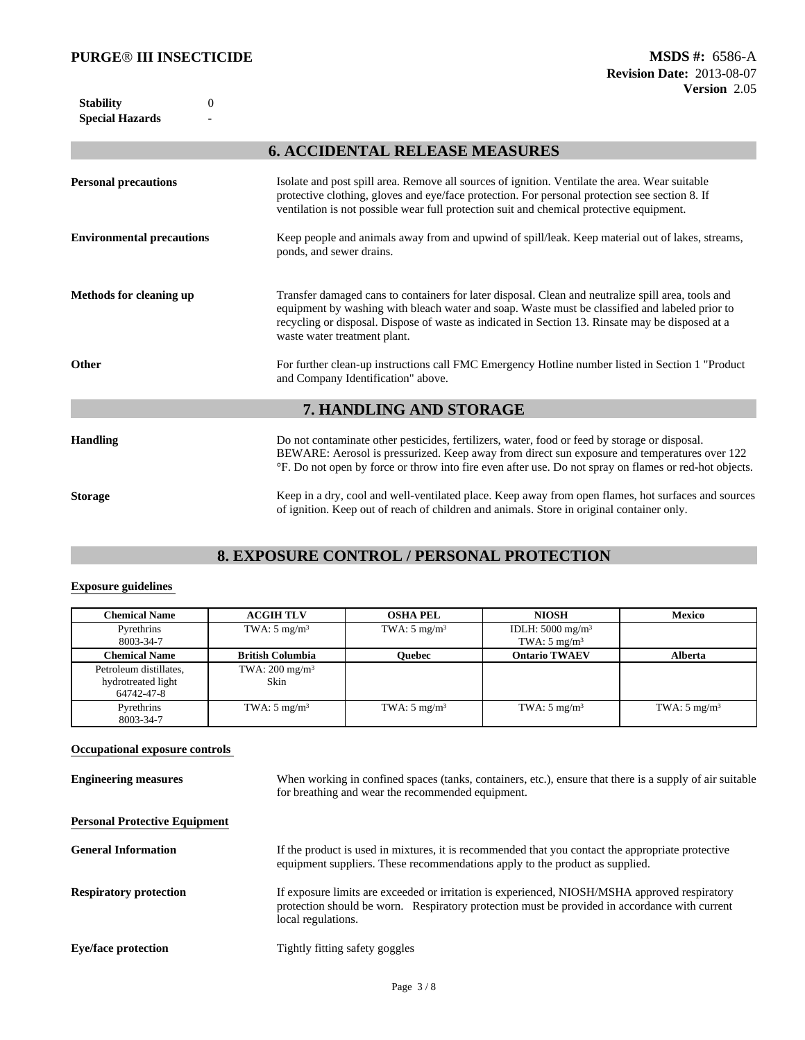**Special Hazards** - **Stability** 0

# **6. ACCIDENTAL RELEASE MEASURES**

| <b>Personal precautions</b>      | Isolate and post spill area. Remove all sources of ignition. Ventilate the area. Wear suitable<br>protective clothing, gloves and eye/face protection. For personal protection see section 8. If<br>ventilation is not possible wear full protection suit and chemical protective equipment.                                             |
|----------------------------------|------------------------------------------------------------------------------------------------------------------------------------------------------------------------------------------------------------------------------------------------------------------------------------------------------------------------------------------|
| <b>Environmental precautions</b> | Keep people and animals away from and upwind of spill/leak. Keep material out of lakes, streams,<br>ponds, and sewer drains.                                                                                                                                                                                                             |
| Methods for cleaning up          | Transfer damaged cans to containers for later disposal. Clean and neutralize spill area, tools and<br>equipment by washing with bleach water and soap. Waste must be classified and labeled prior to<br>recycling or disposal. Dispose of waste as indicated in Section 13. Rinsate may be disposed at a<br>waste water treatment plant. |
| Other                            | For further clean-up instructions call FMC Emergency Hotline number listed in Section 1 "Product"<br>and Company Identification" above.                                                                                                                                                                                                  |
|                                  | 7. HANDLING AND STORAGE                                                                                                                                                                                                                                                                                                                  |
| <b>Handling</b>                  | Do not contaminate other pesticides, fertilizers, water, food or feed by storage or disposal.<br>BEWARE: Aerosol is pressurized. Keep away from direct sun exposure and temperatures over 122<br><sup>o</sup> F. Do not open by force or throw into fire even after use. Do not spray on flames or red-hot objects.                      |
| <b>Storage</b>                   | Keep in a dry, cool and well-ventilated place. Keep away from open flames, hot surfaces and sources<br>of ignition. Keep out of reach of children and animals. Store in original container only.                                                                                                                                         |

# **8. EXPOSURE CONTROL / PERSONAL PROTECTION**

#### **Exposure guidelines**

| <b>Chemical Name</b>                                       | <b>ACGIH TLV</b>                  | <b>OSHA PEL</b>         | <b>NIOSH</b>                                              | Mexico                  |
|------------------------------------------------------------|-----------------------------------|-------------------------|-----------------------------------------------------------|-------------------------|
| Pyrethrins<br>8003-34-7                                    | TWA: $5 \text{ mg/m}^3$           | TWA: $5 \text{ mg/m}^3$ | IDLH: $5000$ mg/m <sup>3</sup><br>TWA: $5 \text{ mg/m}^3$ |                         |
| <b>Chemical Name</b>                                       | <b>British Columbia</b>           | Ouebec                  | <b>Ontario TWAEV</b>                                      | <b>Alberta</b>          |
| Petroleum distillates,<br>hydrotreated light<br>64742-47-8 | TWA: $200 \text{ mg/m}^3$<br>Skin |                         |                                                           |                         |
| Pyrethrins<br>8003-34-7                                    | TWA: $5 \text{ mg/m}^3$           | TWA: $5 \text{ mg/m}^3$ | TWA: $5 \text{ mg/m}^3$                                   | TWA: $5 \text{ mg/m}^3$ |

## **Occupational exposure controls**

| <b>Engineering measures</b>          | When working in confined spaces (tanks, containers, etc.), ensure that there is a supply of air suitable<br>for breathing and wear the recommended equipment.                                                        |
|--------------------------------------|----------------------------------------------------------------------------------------------------------------------------------------------------------------------------------------------------------------------|
| <b>Personal Protective Equipment</b> |                                                                                                                                                                                                                      |
| <b>General Information</b>           | If the product is used in mixtures, it is recommended that you contact the appropriate protective<br>equipment suppliers. These recommendations apply to the product as supplied.                                    |
| <b>Respiratory protection</b>        | If exposure limits are exceeded or irritation is experienced, NIOSH/MSHA approved respiratory<br>protection should be worn. Respiratory protection must be provided in accordance with current<br>local regulations. |
| <b>Eye/face protection</b>           | Tightly fitting safety goggles                                                                                                                                                                                       |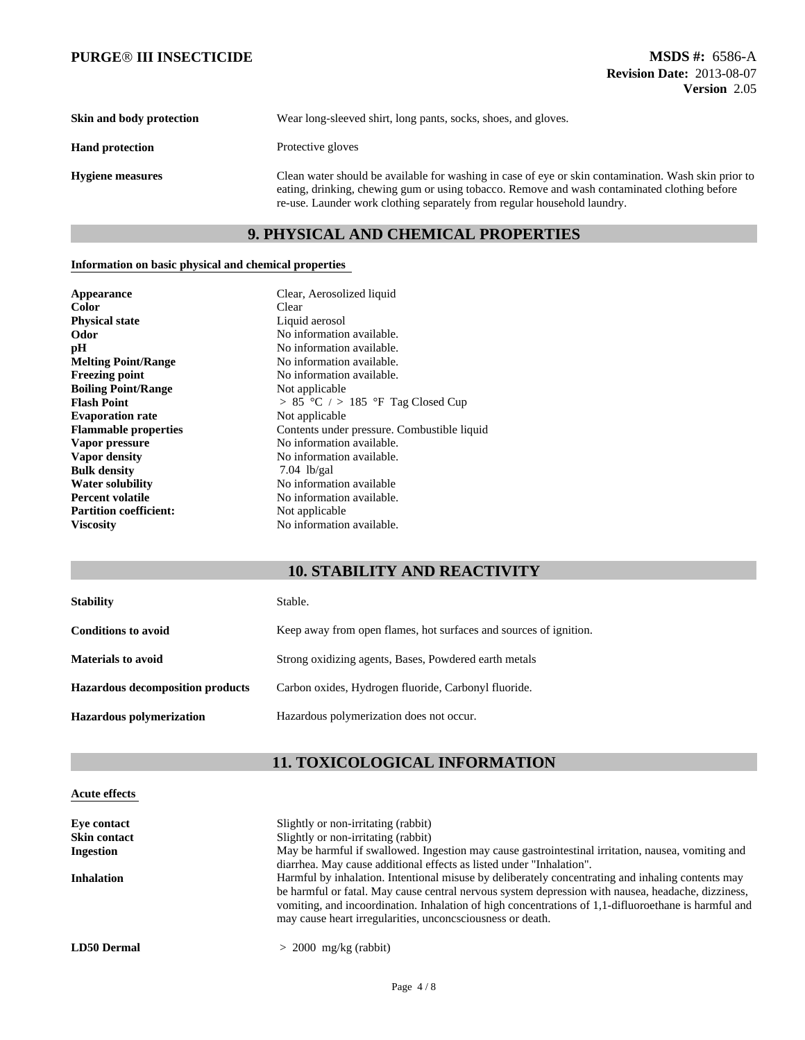| Skin and body protection | Wear long-sleeved shirt, long pants, socks, shoes, and gloves.                                                                                                                                                                                                                   |
|--------------------------|----------------------------------------------------------------------------------------------------------------------------------------------------------------------------------------------------------------------------------------------------------------------------------|
| <b>Hand protection</b>   | Protective gloves                                                                                                                                                                                                                                                                |
| <b>Hygiene measures</b>  | Clean water should be available for washing in case of eye or skin contamination. Wash skin prior to<br>eating, drinking, chewing gum or using tobacco. Remove and wash contaminated clothing before<br>re-use. Launder work clothing separately from regular household laundry. |

# **9. PHYSICAL AND CHEMICAL PROPERTIES**

#### **Information on basic physical and chemical properties**

| Appearance                    | Clear, Aerosolized liquid                   |
|-------------------------------|---------------------------------------------|
| <b>Color</b>                  | Clear                                       |
| <b>Physical state</b>         | Liquid aerosol                              |
| Odor                          | No information available.                   |
| pH                            | No information available.                   |
| <b>Melting Point/Range</b>    | No information available.                   |
| <b>Freezing point</b>         | No information available.                   |
| <b>Boiling Point/Range</b>    | Not applicable                              |
| <b>Flash Point</b>            | $> 85$ °C $/$ > 185 °F Tag Closed Cup       |
| <b>Evaporation rate</b>       | Not applicable                              |
| <b>Flammable properties</b>   | Contents under pressure. Combustible liquid |
| Vapor pressure                | No information available.                   |
| Vapor density                 | No information available.                   |
| <b>Bulk density</b>           | $7.04$ lb/gal                               |
| <b>Water solubility</b>       | No information available                    |
| <b>Percent volatile</b>       | No information available.                   |
| <b>Partition coefficient:</b> | Not applicable                              |
| <b>Viscosity</b>              | No information available.                   |

# **10. STABILITY AND REACTIVITY**

| <b>Stability</b>                        | Stable.                                                           |
|-----------------------------------------|-------------------------------------------------------------------|
| <b>Conditions to avoid</b>              | Keep away from open flames, hot surfaces and sources of ignition. |
| <b>Materials to avoid</b>               | Strong oxidizing agents, Bases, Powdered earth metals             |
| <b>Hazardous decomposition products</b> | Carbon oxides, Hydrogen fluoride, Carbonyl fluoride.              |
| <b>Hazardous polymerization</b>         | Hazardous polymerization does not occur.                          |

# **11. TOXICOLOGICAL INFORMATION**

## **Acute effects**

| Slightly or non-irritating (rabbit)                                                                  |
|------------------------------------------------------------------------------------------------------|
| Slightly or non-irritating (rabbit)                                                                  |
| May be harmful if swallowed. Ingestion may cause gastrointestinal irritation, nausea, vomiting and   |
| diarrhea. May cause additional effects as listed under "Inhalation".                                 |
| Harmful by inhalation. Intentional misuse by deliberately concentrating and inhaling contents may    |
| be harmful or fatal. May cause central nervous system depression with nausea, headache, dizziness,   |
| vomiting, and incoordination. Inhalation of high concentrations of 1,1-diffuoroethane is harmful and |
| may cause heart irregularities, unconcsciousness or death.                                           |
|                                                                                                      |
| $> 2000$ mg/kg (rabbit)                                                                              |
|                                                                                                      |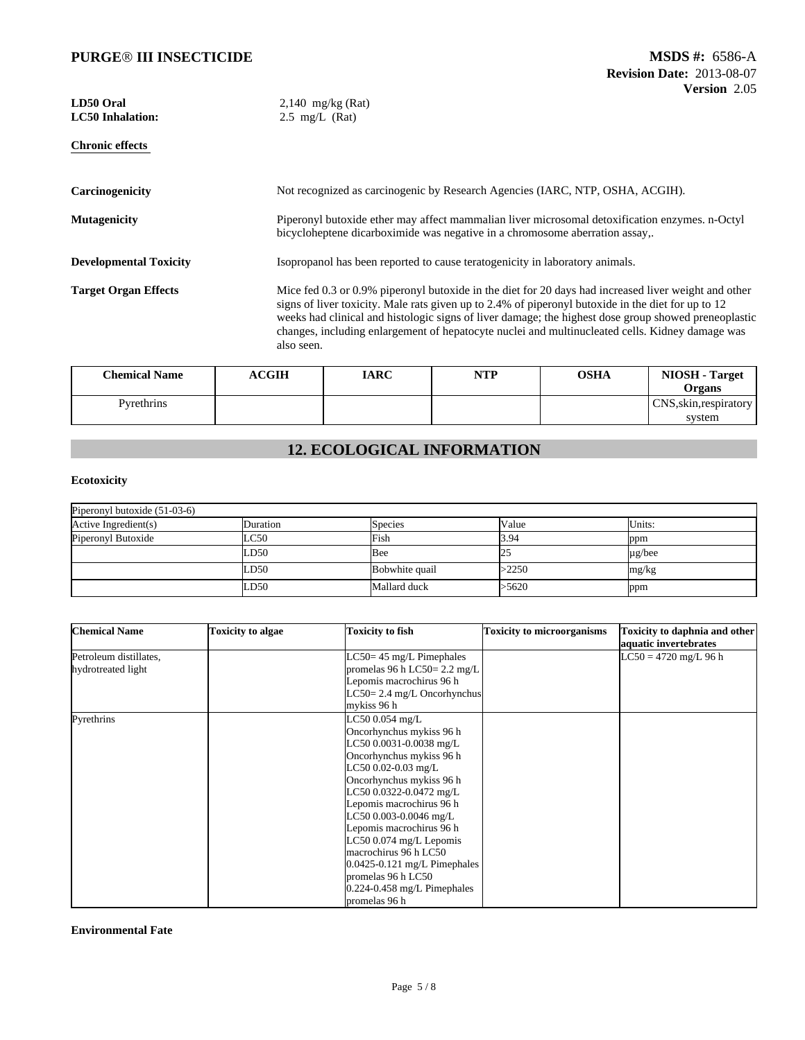| LD50 Oral<br><b>LC50</b> Inhalation: | $2,140$ mg/kg (Rat)<br>$2.5$ mg/L (Rat)                                                                                                                                                                                                                                                                                                                                                                                             |
|--------------------------------------|-------------------------------------------------------------------------------------------------------------------------------------------------------------------------------------------------------------------------------------------------------------------------------------------------------------------------------------------------------------------------------------------------------------------------------------|
| <b>Chronic effects</b>               |                                                                                                                                                                                                                                                                                                                                                                                                                                     |
| Carcinogenicity                      | Not recognized as carcinogenic by Research Agencies (IARC, NTP, OSHA, ACGIH).                                                                                                                                                                                                                                                                                                                                                       |
| <b>Mutagenicity</b>                  | Piperonyl butoxide ether may affect mammalian liver microsomal detoxification enzymes. n-Octyl<br>bicycloheptene dicarboximide was negative in a chromosome aberration assay,.                                                                                                                                                                                                                                                      |
| <b>Developmental Toxicity</b>        | Isopropanol has been reported to cause teratogenicity in laboratory animals.                                                                                                                                                                                                                                                                                                                                                        |
| <b>Target Organ Effects</b>          | Mice fed 0.3 or 0.9% piperonyl butoxide in the diet for 20 days had increased liver weight and other<br>signs of liver toxicity. Male rats given up to 2.4% of piperonyl butoxide in the diet for up to 12<br>weeks had clinical and histologic signs of liver damage; the highest dose group showed preneoplastic<br>changes, including enlargement of hepatocyte nuclei and multinucleated cells. Kidney damage was<br>also seen. |

| <b>Chemical Name</b> | <b>ACGIH</b> | <b>IARC</b> | <b>NTP</b> | <b>OSHA</b> | NIOSH-<br><b>Target</b><br>Organs |
|----------------------|--------------|-------------|------------|-------------|-----------------------------------|
| Pyrethrins           |              |             |            |             | CNS, skin, respiratory            |
|                      |              |             |            |             | system                            |

# **12. ECOLOGICAL INFORMATION**

## **Ecotoxicity**

| Piperonyl butoxide $(51-03-6)$ |          |                |       |             |  |
|--------------------------------|----------|----------------|-------|-------------|--|
| Active Ingredient(s)           | Duration | <b>Species</b> | Value | Units:      |  |
| Piperonyl Butoxide             | LC50     | Fish           | 3.94  | ppm         |  |
|                                | LD50     | Bee            | 25    | $\mu$ g/bee |  |
|                                | LD50     | Bobwhite quail | >2250 | mg/kg       |  |
|                                | LD50     | Mallard duck   | >5620 | ppm         |  |

| <b>Chemical Name</b>                         | <b>Toxicity to algae</b> | <b>Toxicity to fish</b>                                                                                                                                                                                                                                                                                                                                                                                                              | <b>Toxicity to microorganisms</b> | Toxicity to daphnia and other<br>aquatic invertebrates |
|----------------------------------------------|--------------------------|--------------------------------------------------------------------------------------------------------------------------------------------------------------------------------------------------------------------------------------------------------------------------------------------------------------------------------------------------------------------------------------------------------------------------------------|-----------------------------------|--------------------------------------------------------|
| Petroleum distillates,<br>hydrotreated light |                          | $LC50 = 45$ mg/L Pimephales<br>promelas 96 h LC50= $2.2 \text{ mg/L}$<br>Lepomis macrochirus 96 h<br>$LC50 = 2.4$ mg/L Oncorhynchus<br>mykiss 96 h                                                                                                                                                                                                                                                                                   |                                   | $LC50 = 4720$ mg/L 96 h                                |
| Pyrethrins                                   |                          | LC50 0.054 mg/L<br>Oncorhynchus mykiss 96 h<br>LC50 0.0031-0.0038 mg/L<br>Oncorhynchus mykiss 96 h<br>LC50 0.02-0.03 mg/L<br>Oncorhynchus mykiss 96 h<br>LC50 0.0322-0.0472 mg/L<br>Lepomis macrochirus 96 h<br>LC50 0.003-0.0046 mg/L<br>Lepomis macrochirus 96 h<br>LC50 0.074 mg/L Lepomis<br>macrochirus 96 h LC50<br>$0.0425 - 0.121$ mg/L Pimephales<br>promelas 96 h LC50<br>$0.224 - 0.458$ mg/L Pimephales<br>promelas 96 h |                                   |                                                        |

#### **Environmental Fate**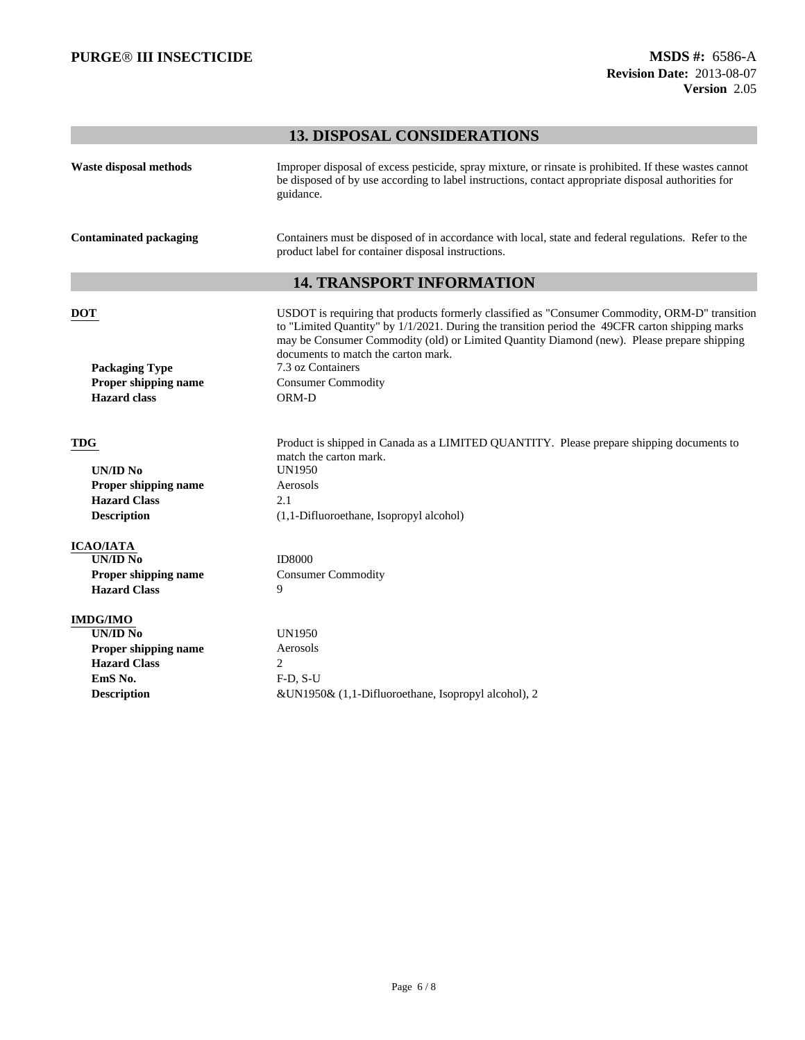# **13. DISPOSAL CONSIDERATIONS**

| Waste disposal methods        | Improper disposal of excess pesticide, spray mixture, or rinsate is prohibited. If these wastes cannot<br>be disposed of by use according to label instructions, contact appropriate disposal authorities for<br>guidance.                                                                                                             |
|-------------------------------|----------------------------------------------------------------------------------------------------------------------------------------------------------------------------------------------------------------------------------------------------------------------------------------------------------------------------------------|
| <b>Contaminated packaging</b> | Containers must be disposed of in accordance with local, state and federal regulations. Refer to the<br>product label for container disposal instructions.                                                                                                                                                                             |
|                               | <b>14. TRANSPORT INFORMATION</b>                                                                                                                                                                                                                                                                                                       |
| <b>DOT</b>                    | USDOT is requiring that products formerly classified as "Consumer Commodity, ORM-D" transition<br>to "Limited Quantity" by 1/1/2021. During the transition period the 49CFR carton shipping marks<br>may be Consumer Commodity (old) or Limited Quantity Diamond (new). Please prepare shipping<br>documents to match the carton mark. |
| <b>Packaging Type</b>         | 7.3 oz Containers                                                                                                                                                                                                                                                                                                                      |
| Proper shipping name          | <b>Consumer Commodity</b>                                                                                                                                                                                                                                                                                                              |
| <b>Hazard</b> class           | ORM-D                                                                                                                                                                                                                                                                                                                                  |
| <b>TDG</b>                    | Product is shipped in Canada as a LIMITED QUANTITY. Please prepare shipping documents to<br>match the carton mark.                                                                                                                                                                                                                     |
| <b>UN/ID No</b>               | <b>UN1950</b>                                                                                                                                                                                                                                                                                                                          |
| Proper shipping name          | Aerosols                                                                                                                                                                                                                                                                                                                               |
| <b>Hazard Class</b>           | 2.1                                                                                                                                                                                                                                                                                                                                    |
| <b>Description</b>            | (1,1-Difluoroethane, Isopropyl alcohol)                                                                                                                                                                                                                                                                                                |
| <b>ICAO/IATA</b>              |                                                                                                                                                                                                                                                                                                                                        |
| $\overline{UN/ID N_0}$        | <b>ID8000</b>                                                                                                                                                                                                                                                                                                                          |
| Proper shipping name          | <b>Consumer Commodity</b>                                                                                                                                                                                                                                                                                                              |
| <b>Hazard Class</b>           | 9                                                                                                                                                                                                                                                                                                                                      |
| <b>IMDG/IMO</b>               |                                                                                                                                                                                                                                                                                                                                        |
| <b>UN/ID No</b>               | <b>UN1950</b>                                                                                                                                                                                                                                                                                                                          |
| Proper shipping name          | Aerosols                                                                                                                                                                                                                                                                                                                               |
| <b>Hazard Class</b>           | $\overline{2}$                                                                                                                                                                                                                                                                                                                         |
|                               | $F-D, S-U$                                                                                                                                                                                                                                                                                                                             |
| EmS No.<br><b>Description</b> | &UN1950& (1,1-Difluoroethane, Isopropyl alcohol), 2                                                                                                                                                                                                                                                                                    |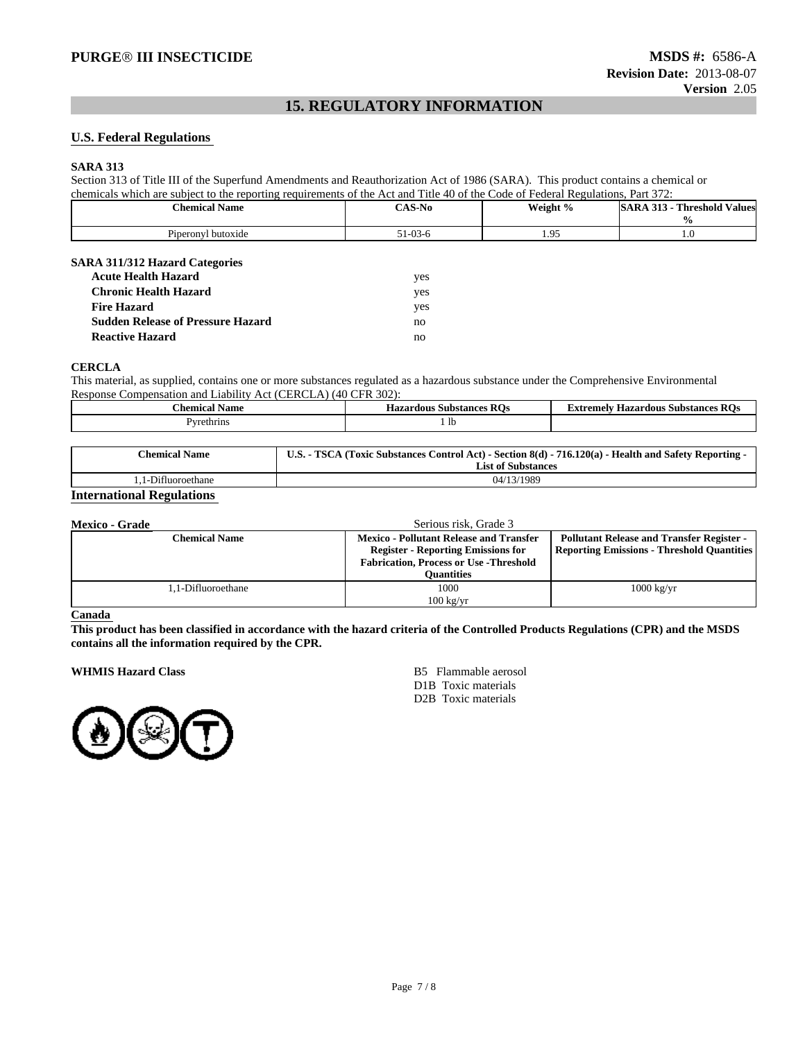# **15. REGULATORY INFORMATION**

#### **U.S. Federal Regulations**

#### **SARA 313**

Section 313 of Title III of the Superfund Amendments and Reauthorization Act of 1986 (SARA). This product contains a chemical or chemicals which are subject to the reporting requirements of the Act and Title 40 of the Code of Federal Regulations, Part 372:

| <b>Chemical Name</b>                     | <b>CAS-No</b> | Weight % | <b>SARA 313 - Threshold Values</b> |
|------------------------------------------|---------------|----------|------------------------------------|
|                                          |               |          | $\frac{6}{9}$                      |
| Piperonyl butoxide                       | $51-03-6$     | 1.95     | 1.0                                |
|                                          |               |          |                                    |
| <b>SARA 311/312 Hazard Categories</b>    |               |          |                                    |
| <b>Acute Health Hazard</b>               | yes           |          |                                    |
| <b>Chronic Health Hazard</b>             | yes           |          |                                    |
| <b>Fire Hazard</b>                       | yes           |          |                                    |
| <b>Sudden Release of Pressure Hazard</b> | no            |          |                                    |
| <b>Reactive Hazard</b>                   | no            |          |                                    |

#### **CERCLA**

This material, as supplied, contains one or more substances regulated as a hazardous substance under the Comprehensive Environmental Response Compensation and Liability Act (CERCLA) (40 CFR 302):

| :hemical<br>Name  | - -<br><b>Hazardous Substances</b><br>ĸ | extremely<br><b>Hazardous</b><br>: Substance<br>the contract of the contract of the contract of |
|-------------------|-----------------------------------------|-------------------------------------------------------------------------------------------------|
| <b>Pyrethrins</b> | -lh                                     |                                                                                                 |

| <b>Chemical Name</b> | <b>U.S.</b> -<br>. - TSCA (Toxic Substances Control Act) - Section 8(d) - 716.120(a) - Health and Safety Reporting -<br><b>List of Substances</b> |
|----------------------|---------------------------------------------------------------------------------------------------------------------------------------------------|
| 1-Difluoroethane     | 04/13/1989                                                                                                                                        |

#### **International Regulations**

| <b>Mexico - Grade</b> | Serious risk. Grade 3                                                                                                                         |                                                                                                       |
|-----------------------|-----------------------------------------------------------------------------------------------------------------------------------------------|-------------------------------------------------------------------------------------------------------|
| <b>Chemical Name</b>  | <b>Mexico - Pollutant Release and Transfer</b><br><b>Register - Reporting Emissions for</b><br><b>Fabrication, Process or Use - Threshold</b> | <b>Pollutant Release and Transfer Register -</b><br><b>Reporting Emissions - Threshold Quantities</b> |
|                       | <b>Ouantities</b>                                                                                                                             |                                                                                                       |
| 1.1-Difluoroethane    | 1000<br>$100 \text{ kg/yr}$                                                                                                                   | $1000 \text{ kg/yr}$                                                                                  |

#### **Canada**

**This product has been classified in accordance with the hazard criteria of the Controlled Products Regulations (CPR) and the MSDS contains all the information required by the CPR.**

**WHMIS Hazard Class** B5 Flammable aerosol



D1B Toxic materials D2B Toxic materials